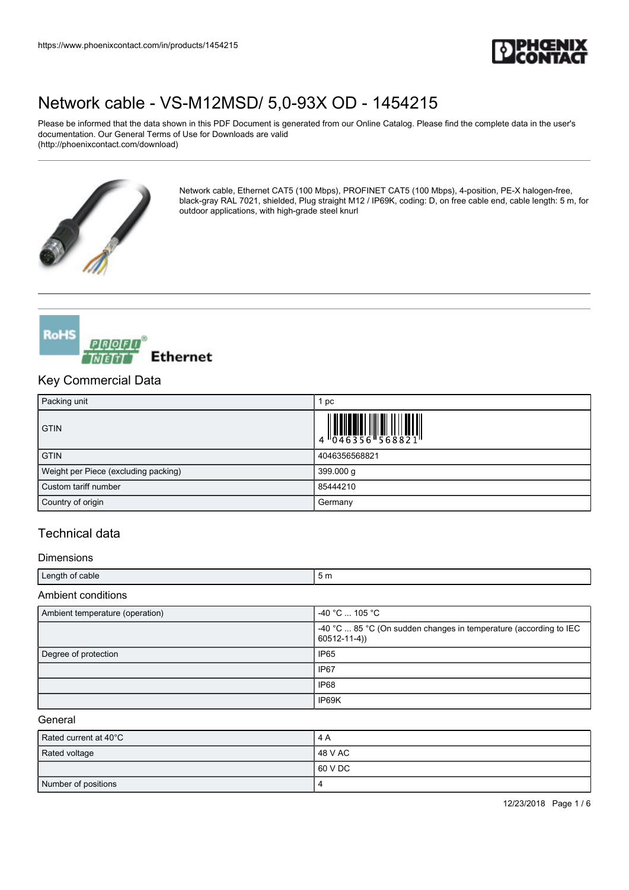

Please be informed that the data shown in this PDF Document is generated from our Online Catalog. Please find the complete data in the user's documentation. Our General Terms of Use for Downloads are valid (http://phoenixcontact.com/download)



Network cable, Ethernet CAT5 (100 Mbps), PROFINET CAT5 (100 Mbps), 4-position, PE-X halogen-free, black-gray RAL 7021, shielded, Plug straight M12 / IP69K, coding: D, on free cable end, cable length: 5 m, for outdoor applications, with high-grade steel knurl



## Key Commercial Data

| Packing unit                         | pc            |
|--------------------------------------|---------------|
| <b>GTIN</b>                          |               |
| <b>GTIN</b>                          | 4046356568821 |
| Weight per Piece (excluding packing) | 399.000 g     |
| Custom tariff number                 | 85444210      |
| Country of origin                    | Germany       |

## Technical data

#### Dimensions

| ∟ength of<br>. of cable | 5m |
|-------------------------|----|
| Aml<br>onditions        |    |

| Ambient temperature (operation) | -40 °C  105 °C                                                                         |
|---------------------------------|----------------------------------------------------------------------------------------|
|                                 | -40 °C  85 °C (On sudden changes in temperature (according to IEC<br>$60512 - 11 - 4)$ |
| Degree of protection            | IP <sub>65</sub>                                                                       |
|                                 | IP <sub>67</sub>                                                                       |
|                                 | IP68                                                                                   |
|                                 | IP69K                                                                                  |

#### **General**

| Rated current at 40°C | 14 A     |
|-----------------------|----------|
| Rated voltage         | 148 V AC |
|                       | 160 V DC |
| Number of positions   |          |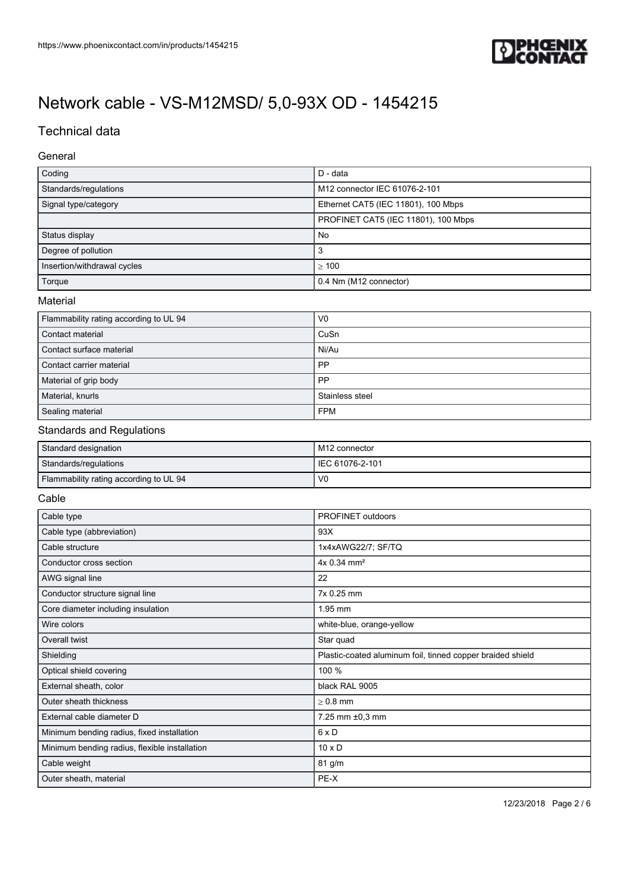

## Technical data

### General

| Coding                                 | D - data                            |
|----------------------------------------|-------------------------------------|
| Standards/regulations                  | M12 connector IEC 61076-2-101       |
| Signal type/category                   | Ethernet CAT5 (IEC 11801), 100 Mbps |
|                                        | PROFINET CAT5 (IEC 11801), 100 Mbps |
| Status display                         | No                                  |
| Degree of pollution                    | 3                                   |
| Insertion/withdrawal cycles            | >100                                |
| Torque                                 | 0.4 Nm (M12 connector)              |
| Material                               |                                     |
| Flammability rating according to UL 94 | V <sub>0</sub>                      |

| Contact material         | CuSn            |
|--------------------------|-----------------|
| Contact surface material | Ni/Au           |
| Contact carrier material | PP              |
| Material of grip body    | PP              |
| Material, knurls         | Stainless steel |
| Sealing material         | <b>FPM</b>      |

### Standards and Regulations

| Standard designation                   | M12 connector   |
|----------------------------------------|-----------------|
| Standards/regulations                  | IEC 61076-2-101 |
| Flammability rating according to UL 94 | V0              |

#### Cable

| Cable type                                    | PROFINET outdoors                                          |
|-----------------------------------------------|------------------------------------------------------------|
| Cable type (abbreviation)                     | 93X                                                        |
| Cable structure                               | 1x4xAWG22/7; SF/TQ                                         |
| Conductor cross section                       | 4x 0.34 mm <sup>2</sup>                                    |
| AWG signal line                               | 22                                                         |
| Conductor structure signal line               | 7x 0.25 mm                                                 |
| Core diameter including insulation            | 1.95 mm                                                    |
| Wire colors                                   | white-blue, orange-yellow                                  |
| Overall twist                                 | Star quad                                                  |
| Shielding                                     | Plastic-coated aluminum foil, tinned copper braided shield |
| Optical shield covering                       | 100 %                                                      |
| External sheath, color                        | black RAL 9005                                             |
| Outer sheath thickness                        | $> 0.8$ mm                                                 |
| External cable diameter D                     | 7.25 mm ±0,3 mm                                            |
| Minimum bending radius, fixed installation    | $6 \times D$                                               |
| Minimum bending radius, flexible installation | $10 \times D$                                              |
| Cable weight                                  | 81 g/m                                                     |
| Outer sheath, material                        | PE-X                                                       |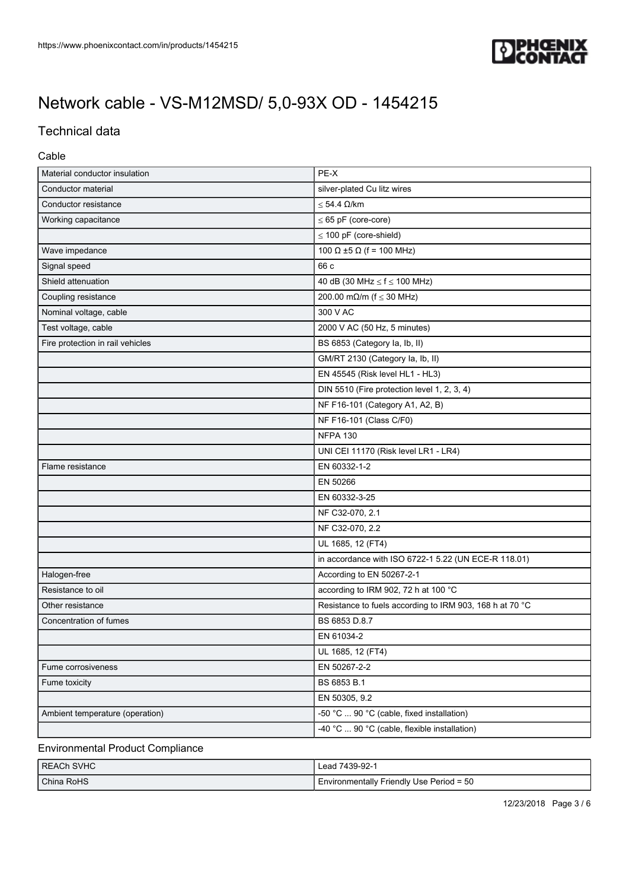

## Technical data

### Cable

| Material conductor insulation    | PE-X                                                     |
|----------------------------------|----------------------------------------------------------|
| Conductor material               | silver-plated Cu litz wires                              |
| Conductor resistance             | $\leq$ 54.4 $\Omega$ /km                                 |
| Working capacitance              | $\leq 65$ pF (core-core)                                 |
|                                  | $\leq$ 100 pF (core-shield)                              |
| Wave impedance                   | 100 Ω ±5 Ω (f = 100 MHz)                                 |
| Signal speed                     | 66 c                                                     |
| Shield attenuation               | 40 dB (30 MHz $\le$ f $\le$ 100 MHz)                     |
| Coupling resistance              | 200.00 mΩ/m ( $f \le 30$ MHz)                            |
| Nominal voltage, cable           | 300 V AC                                                 |
| Test voltage, cable              | 2000 V AC (50 Hz, 5 minutes)                             |
| Fire protection in rail vehicles | BS 6853 (Category la, lb, ll)                            |
|                                  | GM/RT 2130 (Category la, lb, ll)                         |
|                                  | EN 45545 (Risk level HL1 - HL3)                          |
|                                  | DIN 5510 (Fire protection level 1, 2, 3, 4)              |
|                                  | NF F16-101 (Category A1, A2, B)                          |
|                                  | NF F16-101 (Class C/F0)                                  |
|                                  | <b>NFPA 130</b>                                          |
|                                  | UNI CEI 11170 (Risk level LR1 - LR4)                     |
| Flame resistance                 | EN 60332-1-2                                             |
|                                  | EN 50266                                                 |
|                                  | EN 60332-3-25                                            |
|                                  | NF C32-070, 2.1                                          |
|                                  | NF C32-070, 2.2                                          |
|                                  | UL 1685, 12 (FT4)                                        |
|                                  | in accordance with ISO 6722-1 5.22 (UN ECE-R 118.01)     |
| Halogen-free                     | According to EN 50267-2-1                                |
| Resistance to oil                | according to IRM 902, 72 h at 100 °C                     |
| Other resistance                 | Resistance to fuels according to IRM 903, 168 h at 70 °C |
| Concentration of fumes           | BS 6853 D.8.7                                            |
|                                  | EN 61034-2                                               |
|                                  | UL 1685, 12 (FT4)                                        |
| Fume corrosiveness               | EN 50267-2-2                                             |
| Fume toxicity                    | BS 6853 B.1                                              |
|                                  | EN 50305, 9.2                                            |
| Ambient temperature (operation)  | -50 °C  90 °C (cable, fixed installation)                |
|                                  | -40 °C  90 °C (cable, flexible installation)             |

## Environmental Product Compliance

| I REACh SVHC | Lead 7439-92-1                           |
|--------------|------------------------------------------|
| I China RoHS | Environmentally Friendly Use Period = 50 |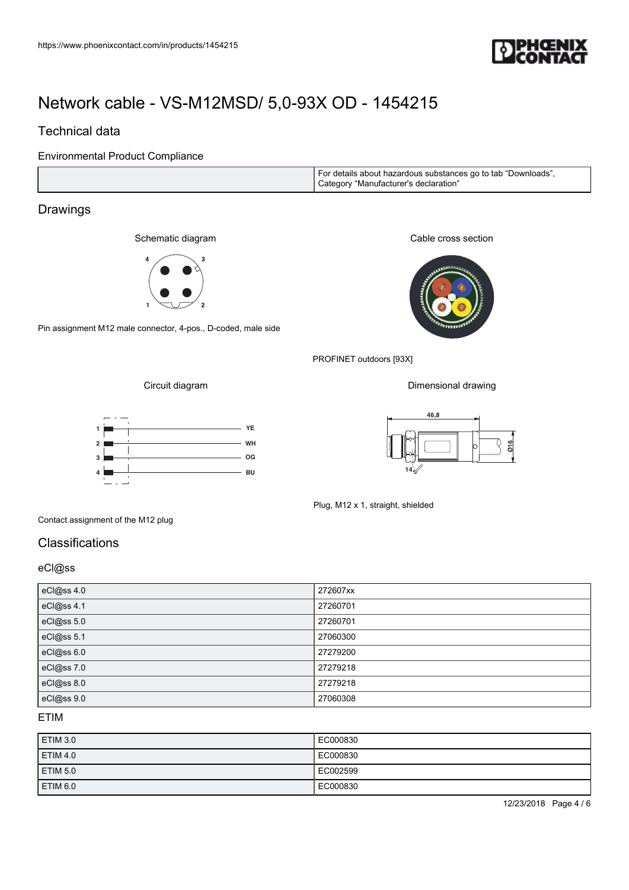

## Technical data

Environmental Product Compliance

| I For details about hazardous substances go to tab "Downloads",<br>Category "Manufacturer's declaration" |
|----------------------------------------------------------------------------------------------------------|
|----------------------------------------------------------------------------------------------------------|

## Drawings

Schematic diagram



Pin assignment M12 male connector, 4-pos., D-coded, male side

Cable cross section



PROFINET outdoors [93X]

Circuit diagram





Dimensional drawing



Contact assignment of the M12 plug

## **Classifications**

### eCl@ss

| eCl@ss 4.0 | 272607xx |
|------------|----------|
| eCl@ss 4.1 | 27260701 |
| eCl@ss 5.0 | 27260701 |
| eCl@ss 5.1 | 27060300 |
| eCl@ss 6.0 | 27279200 |
| eCl@ss 7.0 | 27279218 |
| eCl@ss 8.0 | 27279218 |
| eCl@ss 9.0 | 27060308 |

### ETIM

| ETIM 3.0        | EC000830  |
|-----------------|-----------|
| <b>ETIM 4.0</b> | LEC000830 |
| <b>ETIM 5.0</b> | EC002599  |
| ETIM 6.0        | EC000830  |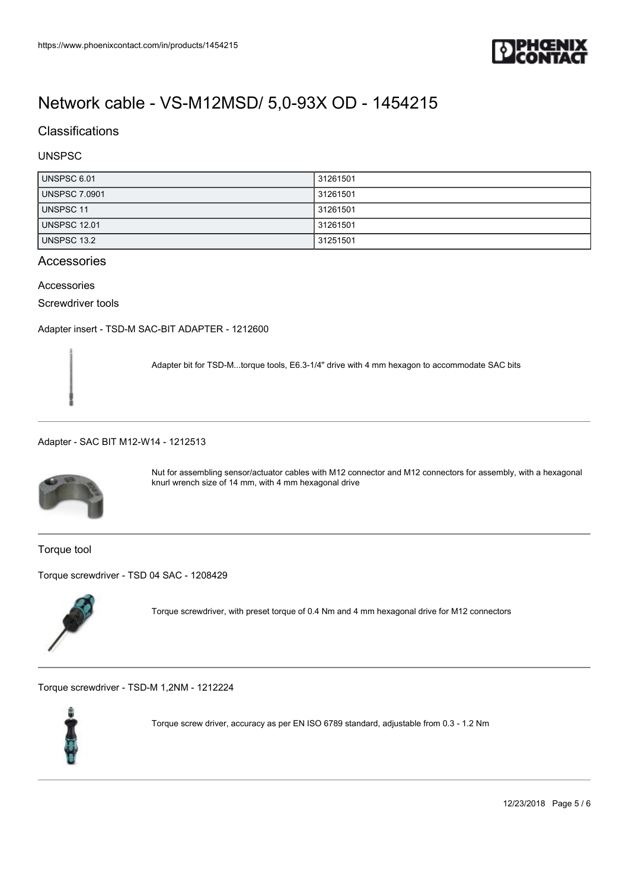

## **Classifications**

### UNSPSC

| UNSPSC 6.01          | 31261501 |
|----------------------|----------|
| <b>UNSPSC 7.0901</b> | 31261501 |
| UNSPSC 11            | 31261501 |
| <b>UNSPSC 12.01</b>  | 31261501 |
| UNSPSC 13.2          | 31251501 |

### Accessories

### Accessories

Screwdriver tools

[Adapter insert - TSD-M SAC-BIT ADAPTER - 1212600](https://www.phoenixcontact.com/in/products/1212600)

Adapter bit for TSD-M...torque tools, E6.3-1/4" drive with 4 mm hexagon to accommodate SAC bits

#### [Adapter - SAC BIT M12-W14 - 1212513](https://www.phoenixcontact.com/in/products/1212513)



Nut for assembling sensor/actuator cables with M12 connector and M12 connectors for assembly, with a hexagonal knurl wrench size of 14 mm, with 4 mm hexagonal drive

Torque tool

[Torque screwdriver - TSD 04 SAC - 1208429](https://www.phoenixcontact.com/in/products/1208429)



Torque screwdriver, with preset torque of 0.4 Nm and 4 mm hexagonal drive for M12 connectors

[Torque screwdriver - TSD-M 1,2NM - 1212224](https://www.phoenixcontact.com/in/products/1212224)



Torque screw driver, accuracy as per EN ISO 6789 standard, adjustable from 0.3 ‑ 1.2 Nm